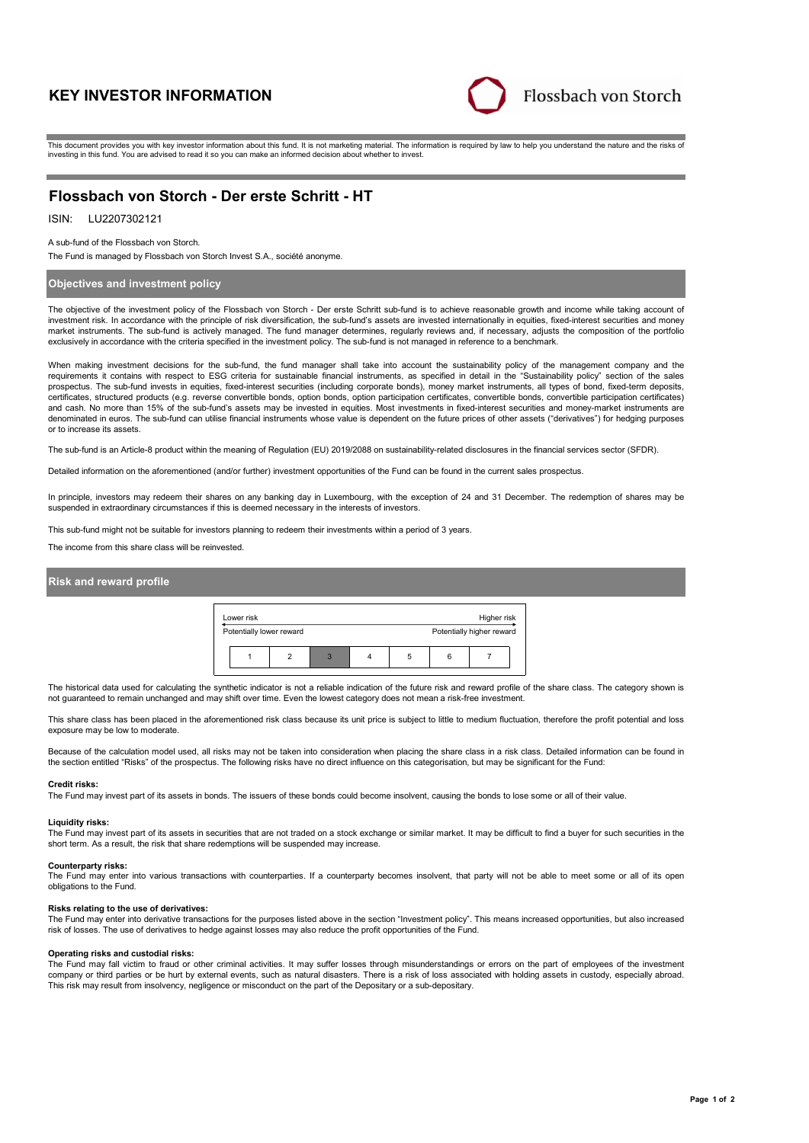# **KEY INVESTOR INFORMATION**



This document provides you with key investor information about this fund. It is not marketing material. The information is required by law to help you understand the nature and the risks of investing in this fund. You are advised to read it so you can make an informed decision about whether to invest.

# **Flossbach von Storch - Der erste Schritt - HT**

## ISIN: LU2207302121

A sub-fund of the Flossbach von Storch.

The Fund is managed by Flossbach von Storch Invest S.A., société anonyme.

### **Objectives and investment policy**

The objective of the investment policy of the Flossbach von Storch - Der erste Schritt sub-fund is to achieve reasonable growth and income while taking account of investment risk. In accordance with the principle of risk diversification, the sub-fund's assets are invested internationally in equities, fixed-interest securities and money market instruments. The sub-fund is actively managed. The fund manager determines, regularly reviews and, if necessary, adjusts the composition of the portfolio exclusively in accordance with the criteria specified in the investment policy. The sub-fund is not managed in reference to a benchmark.

When making investment decisions for the sub-fund, the fund manager shall take into account the sustainability policy of the management company and the requirements it contains with respect to ESG criteria for sustainable financial instruments, as specified in detail in the "Sustainability policy" section of the sales prospectus. The sub-fund invests in equities, fixed-interest securities (including corporate bonds), money market instruments, all types of bond, fixed-term deposits,<br>certificates, structured products (e.g. reverse convert and cash. No more than 15% of the sub-fund's assets may be invested in equities. Most investments in fixed-interest securities and money-market instruments are denominated in euros. The sub-fund can utilise financial instruments whose value is dependent on the future prices of other assets ("derivatives") for hedging purposes or to increase its assets.

The sub-fund is an Article-8 product within the meaning of Regulation (EU) 2019/2088 on sustainability-related disclosures in the financial services sector (SFDR).

Detailed information on the aforementioned (and/or further) investment opportunities of the Fund can be found in the current sales prospectus.

In principle, investors may redeem their shares on any banking day in Luxembourg, with the exception of 24 and 31 December. The redemption of shares may be suspended in extraordinary circumstances if this is deemed necessary in the interests of investors.

This sub-fund might not be suitable for investors planning to redeem their investments within a period of 3 years.

The income from this share class will be reinvested.

### **Risk and reward profile**



The historical data used for calculating the synthetic indicator is not a reliable indication of the future risk and reward profile of the share class. The category shown is not guaranteed to remain unchanged and may shift over time. Even the lowest category does not mean a risk-free investment.

This share class has been placed in the aforementioned risk class because its unit price is subject to little to medium fluctuation, therefore the profit potential and loss exposure may be low to moderate

Because of the calculation model used, all risks may not be taken into consideration when placing the share class in a risk class. Detailed information can be found in the section entitled "Risks" of the prospectus. The following risks have no direct influence on this categorisation, but may be significant for the Fund:

#### **Credit risks:**

The Fund may invest part of its assets in bonds. The issuers of these bonds could become insolvent, causing the bonds to lose some or all of their value.

#### **Liquidity risks:**

The Fund may invest part of its assets in securities that are not traded on a stock exchange or similar market. It may be difficult to find a buyer for such securities in the short term. As a result, the risk that share redemptions will be suspended may increase.

#### **Counterparty risks:**

The Fund may enter into various transactions with counterparties. If a counterparty becomes insolvent, that party will not be able to meet some or all of its open obligations to the Fund.

#### **Risks relating to the use of derivatives:**

The Fund may enter into derivative transactions for the purposes listed above in the section "Investment policy". This means increased opportunities, but also increased risk of losses. The use of derivatives to hedge against losses may also reduce the profit opportunities of the Fund.

#### **Operating risks and custodial risks:**

The Fund may fall victim to fraud or other criminal activities. It may suffer losses through misunderstandings or errors on the part of employees of the investment company or third parties or be hurt by external events, such as natural disasters. There is a risk of loss associated with holding assets in custody, especially abroad. This risk may result from insolvency, negligence or misconduct on the part of the Depositary or a sub-depositary.